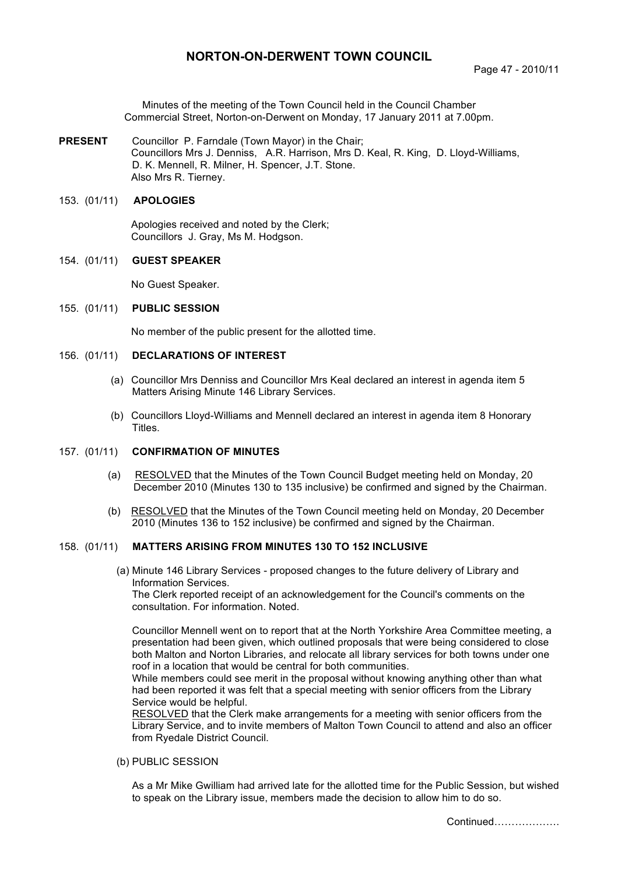# **NORTON-ON-DERWENT TOWN COUNCIL**

Minutes of the meeting of the Town Council held in the Council Chamber Commercial Street, Norton-on-Derwent on Monday, 17 January 2011 at 7.00pm.

**PRESENT** Councillor P. Farndale (Town Mayor) in the Chair; Councillors Mrs J. Denniss, A.R. Harrison, Mrs D. Keal, R. King, D. Lloyd-Williams, D. K. Mennell, R. Milner, H. Spencer, J.T. Stone. Also Mrs R. Tierney.

#### 153. (01/11) **APOLOGIES**

 Apologies received and noted by the Clerk; Councillors J. Gray, Ms M. Hodgson.

#### 154. (01/11) **GUEST SPEAKER**

No Guest Speaker.

#### 155. (01/11) **PUBLIC SESSION**

No member of the public present for the allotted time.

#### 156. (01/11) **DECLARATIONS OF INTEREST**

- (a) Councillor Mrs Denniss and Councillor Mrs Keal declared an interest in agenda item 5 Matters Arising Minute 146 Library Services.
- (b) Councillors Lloyd-Williams and Mennell declared an interest in agenda item 8 Honorary Titles.

# 157. (01/11) **CONFIRMATION OF MINUTES**

- (a) RESOLVED that the Minutes of the Town Council Budget meeting held on Monday, 20 December 2010 (Minutes 130 to 135 inclusive) be confirmed and signed by the Chairman.
- (b) RESOLVED that the Minutes of the Town Council meeting held on Monday, 20 December 2010 (Minutes 136 to 152 inclusive) be confirmed and signed by the Chairman.

## 158. (01/11) **MATTERS ARISING FROM MINUTES 130 TO 152 INCLUSIVE**

(a) Minute 146 Library Services - proposed changes to the future delivery of Library and Information Services. The Clerk reported receipt of an acknowledgement for the Council's comments on the

consultation. For information. Noted.

Councillor Mennell went on to report that at the North Yorkshire Area Committee meeting, a presentation had been given, which outlined proposals that were being considered to close both Malton and Norton Libraries, and relocate all library services for both towns under one roof in a location that would be central for both communities.

While members could see merit in the proposal without knowing anything other than what had been reported it was felt that a special meeting with senior officers from the Library Service would be helpful.

RESOLVED that the Clerk make arrangements for a meeting with senior officers from the Library Service, and to invite members of Malton Town Council to attend and also an officer from Ryedale District Council.

(b) PUBLIC SESSION

As a Mr Mike Gwilliam had arrived late for the allotted time for the Public Session, but wished to speak on the Library issue, members made the decision to allow him to do so.

Continued……………….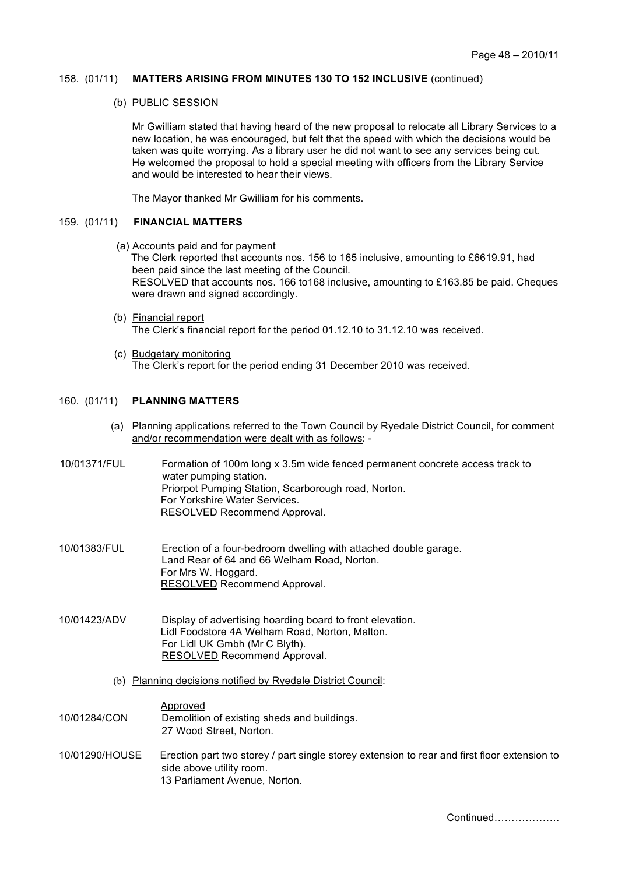### 158. (01/11) **MATTERS ARISING FROM MINUTES 130 TO 152 INCLUSIVE** (continued)

(b) PUBLIC SESSION

Mr Gwilliam stated that having heard of the new proposal to relocate all Library Services to a new location, he was encouraged, but felt that the speed with which the decisions would be taken was quite worrying. As a library user he did not want to see any services being cut. He welcomed the proposal to hold a special meeting with officers from the Library Service and would be interested to hear their views.

The Mayor thanked Mr Gwilliam for his comments.

# 159. (01/11) **FINANCIAL MATTERS**

(a) Accounts paid and for payment

The Clerk reported that accounts nos. 156 to 165 inclusive, amounting to £6619.91, had been paid since the last meeting of the Council. RESOLVED that accounts nos. 166 to168 inclusive, amounting to £163.85 be paid. Cheques were drawn and signed accordingly.

- (b) Financial report The Clerk's financial report for the period 01.12.10 to 31.12.10 was received.
- (c) Budgetary monitoring The Clerk's report for the period ending 31 December 2010 was received.

### 160. (01/11) **PLANNING MATTERS**

- (a) Planning applications referred to the Town Council by Ryedale District Council, for comment and/or recommendation were dealt with as follows: -
- 10/01371/FUL Formation of 100m long x 3.5m wide fenced permanent concrete access track to water pumping station. Priorpot Pumping Station, Scarborough road, Norton. For Yorkshire Water Services. RESOLVED Recommend Approval.
- 10/01383/FUL Erection of a four-bedroom dwelling with attached double garage. Land Rear of 64 and 66 Welham Road, Norton. For Mrs W. Hoggard. RESOLVED Recommend Approval.
- 10/01423/ADV Display of advertising hoarding board to front elevation. Lidl Foodstore 4A Welham Road, Norton, Malton. For Lidl UK Gmbh (Mr C Blyth). RESOLVED Recommend Approval.
	- (b) Planning decisions notified by Ryedale District Council:

Approved 10/01284/CON Demolition of existing sheds and buildings. 27 Wood Street, Norton.

10/01290/HOUSE Erection part two storey / part single storey extension to rear and first floor extension to side above utility room. 13 Parliament Avenue, Norton.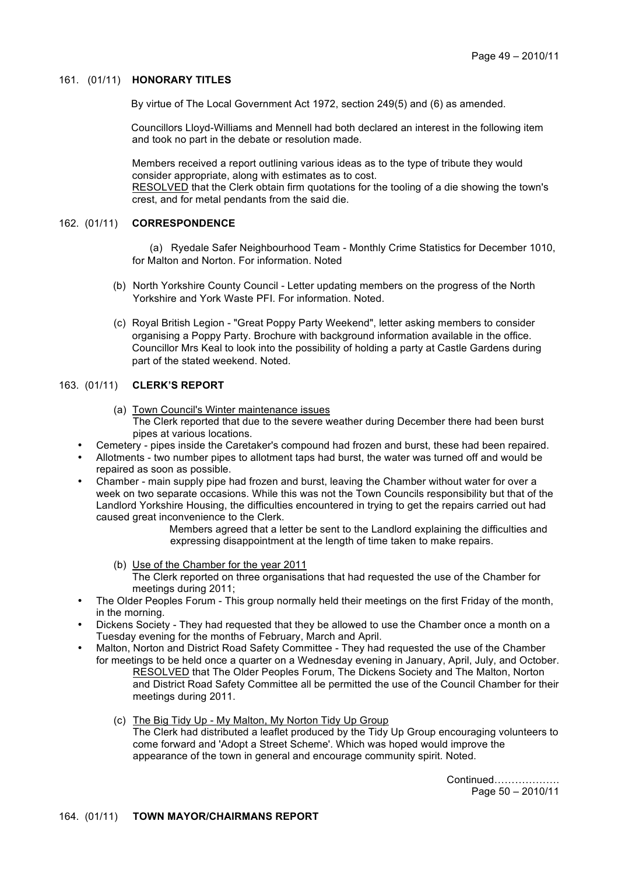# 161. (01/11) **HONORARY TITLES**

By virtue of The Local Government Act 1972, section 249(5) and (6) as amended.

Councillors Lloyd-Williams and Mennell had both declared an interest in the following item and took no part in the debate or resolution made.

Members received a report outlining various ideas as to the type of tribute they would consider appropriate, along with estimates as to cost.

RESOLVED that the Clerk obtain firm quotations for the tooling of a die showing the town's crest, and for metal pendants from the said die.

## 162. (01/11) **CORRESPONDENCE**

 (a) Ryedale Safer Neighbourhood Team - Monthly Crime Statistics for December 1010, for Malton and Norton. For information. Noted

- (b) North Yorkshire County Council Letter updating members on the progress of the North Yorkshire and York Waste PFI. For information. Noted.
- (c) Royal British Legion "Great Poppy Party Weekend", letter asking members to consider organising a Poppy Party. Brochure with background information available in the office. Councillor Mrs Keal to look into the possibility of holding a party at Castle Gardens during part of the stated weekend. Noted.

### 163. (01/11) **CLERK'S REPORT**

- (a) Town Council's Winter maintenance issues The Clerk reported that due to the severe weather during December there had been burst pipes at various locations.
- Cemetery pipes inside the Caretaker's compound had frozen and burst, these had been repaired.
- Allotments two number pipes to allotment taps had burst, the water was turned off and would be repaired as soon as possible.
- Chamber main supply pipe had frozen and burst, leaving the Chamber without water for over a week on two separate occasions. While this was not the Town Councils responsibility but that of the Landlord Yorkshire Housing, the difficulties encountered in trying to get the repairs carried out had caused great inconvenience to the Clerk.

Members agreed that a letter be sent to the Landlord explaining the difficulties and expressing disappointment at the length of time taken to make repairs.

- (b) Use of the Chamber for the year 2011 The Clerk reported on three organisations that had requested the use of the Chamber for meetings during 2011;
- The Older Peoples Forum This group normally held their meetings on the first Friday of the month, in the morning.
- Dickens Society They had requested that they be allowed to use the Chamber once a month on a Tuesday evening for the months of February, March and April.
- Malton, Norton and District Road Safety Committee They had requested the use of the Chamber for meetings to be held once a quarter on a Wednesday evening in January, April, July, and October. RESOLVED that The Older Peoples Forum, The Dickens Society and The Malton, Norton and District Road Safety Committee all be permitted the use of the Council Chamber for their meetings during 2011.
	- (c) The Big Tidy Up My Malton, My Norton Tidy Up Group The Clerk had distributed a leaflet produced by the Tidy Up Group encouraging volunteers to come forward and 'Adopt a Street Scheme'. Which was hoped would improve the appearance of the town in general and encourage community spirit. Noted.

 Continued………………. Page 50 – 2010/11